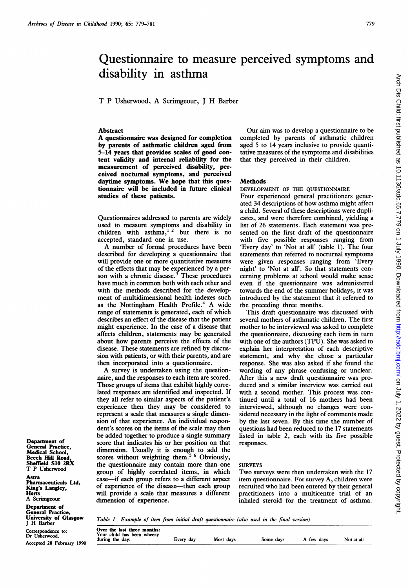# Questionnaire to measure perceived symptoms and disability in asthma

T P Usherwood, A Scrimgeour, <sup>J</sup> H Barber

### **Abstract**

A questionnaire was designed for completion by parents of asthmatic children aged from 5-14 years that provides scales of good content validity and internal reliability for the measurement of perceived disability, perceived nocturnal symptoms, and perceived daytime symptoms. We hope that this questionnaire will be included in future clinical studies of these patients.

Questionnaires addressed to parents are widely used to measure symptoms and disability in children with asthma, $12$  but there is no accepted, standard one in use.

A number of formal procedures have been described for developing a questionnaire that will provide one or more quantitative measures of the effects that may be experienced by a person with a chronic disease. $3$  These procedures have much in common both with each other and with the methods described for the development of multidimensional health indexes such as the Nottingham Health Profile.<sup>4</sup> A wide range of statements is generated, each of which describes an effect of the disease that the patient might experience. In the case of a disease that affects children, statements may be generated about how parents perceive the effects of the disease. These statements are refined by discussion with patients, or with their parents, and are then incorporated into a questionnaire.

A survey is undertaken using the questionnaire, and the responses to each item are scored. Those groups of items that exhibit highly correlated responses are identified and inspected. If they all refer to similar aspects of the patient's experience then they may be considered to represent a scale that measures a single dimension of that experience. An individual respondent's scores on the items of the scale may then be added together to produce a single summary score that indicates his or her position on that dimension. Usually it is enough to add the scores without weighting them.<sup>5 6</sup> Obviously, the questionnaire may contain more than one group of highly correlated items, in which case-if each group refers to a different aspect of experience of the disease—then each group will provide a scale that measures a different dimension of experience.

Our aim was to develop a questionnaire to be completed by parents of asthmatic children aged 5 to 14 years inclusive to provide quantitative measures of the symptoms and disabilities that they perceived in their children.

### **Methods**

DEVELOPMENT OF THE QUESTIONNAIRE

Four experienced general practitioners generated 34 descriptions of how asthma might affect a child. Several of these descriptions were duplicates, and were therefore combined, yielding a list of 26 statements. Each statement was presented on the first draft of the questionnaire with five possible responses ranging from 'Every day' to 'Not at all' (table 1). The four statements that referred to nocturnal symptoms were given responses ranging from 'Every night' to 'Not at all'. So that statements concerning problems at school would make sense even if the questionnaire was administered towards the end of the summer holidays, it was introduced by the statement that it referred to the preceding three months.

This draft questionnaire was discussed with several mothers of asthmatic children. The first mother to be interviewed was asked to complete the questionnaire, discussing each item in turn with one of the authors (TPU). She was asked to explain her interpretation of each descriptive statement, and why she chose a particular response. She was also asked if she found the wording of any phrase confusing or unclear. After this a new draft questionnaire was produced and a similar interview was carried out with a second mother. This process was continued until a total of 16 mothers had been interviewed, although no changes were considered necessary in the light of comments made by the last seven. By this time the number of questions had been reduced to the 17 statements listed in table 2, each with its five possible responses.

## **SURVEYS**

Two surveys were then undertaken with the <sup>17</sup> item questionnaire. For survey A, children were recruited who had been entered by their general practitioners into a multicentre trial of an inhaled steroid for the treatment of asthma.

Department of General Practice, Medical School, Beech Hill Road, Sheffield S1O 2RX T P Usherwood

Astra Pharmaceuticals Ltd, King's Langley, **Herts** A Scrimgeour

Department of General Practice, University of Glasgow

Correspondence to: Dr Usherwood. Accepted 28 February 1990

University of Glasgow Table 1 Example of item from initial draft questionnaire (also used in the final version)<br>J H Barber

| Over the last three months:<br>Your child has been wheezy<br>during the day:<br>Most days<br>Not at all<br>Some days<br>A few days<br>Every day |
|-------------------------------------------------------------------------------------------------------------------------------------------------|
|-------------------------------------------------------------------------------------------------------------------------------------------------|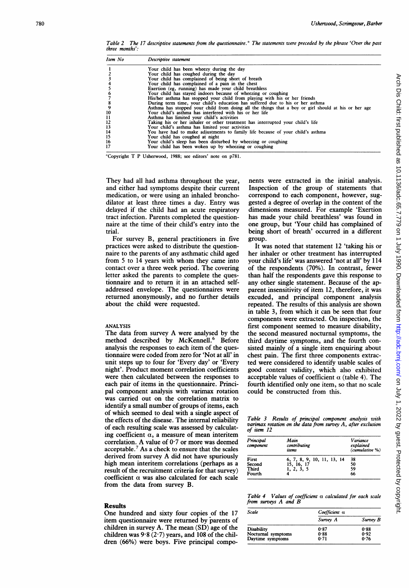Table 2 The 17 descriptive statements from the questionnaire.\* The statements were preceded by the phrase 'Over the past three months':

| Item No | Descriptive statement                                                                               |
|---------|-----------------------------------------------------------------------------------------------------|
|         | Your child has been wheezy during the day                                                           |
|         | Your child has coughed during the day                                                               |
|         | Your child has complained of being short of breath                                                  |
|         | Your child has complained of a pain in the chest                                                    |
|         | Exertion (eg, running) has made your child breathless                                               |
|         | Your child has stayed indoors because of wheezing or coughing                                       |
|         | His/her asthma has stopped your child from playing with his or her friends                          |
|         | During term time, your child's education has suffered due to his or her asthma                      |
|         | Asthma has stopped your child from doing all the things that a boy or girl should at his or her age |
| 10      | Your child's asthma has interfered with his or her life                                             |
| 11      | Asthma has limited your child's activities                                                          |
| 12      | Taking his or her inhaler or other treatment has interrupted your child's life                      |
| 13      | Your child's asthma has limited your activities                                                     |
| 14      | You have had to make adjustments to family life because of your child's asthma                      |
| 15      | Your child has coughed at night                                                                     |
| 16      | Your child's sleep has been disturbed by wheezing or coughing                                       |
| 17      | Your child has been woken up by wheezing or coughing                                                |

\*Copyright T P Usherwood, 1988; see editors' note on p781.

They had all had asthma throughout the year, and either had symptoms despite their current medication, or were using an inhaled bronchodilator at least three times a day. Entry was delayed if the child had an acute respiratory tract infection. Parents completed the questionnaire at the time of their child's entry into the trial.

For survey B, general practitioners in five practices were asked to distribute the questionnaire to the parents of any asthmatic child aged from <sup>5</sup> to <sup>14</sup> years with whom they came into contact over a three week period. The covering letter asked the parents to complete the questionnaire and to return it in an attached selfaddressed envelope. The questionnaires were returned anonymously, and no further details about the child were requested.

### ANALYSIS

The data from survey A were analysed by the method described by McKennell.<sup>6</sup> Before analysis the responses to each item of the questionnaire were coded from zero for 'Not at all' in unit steps up to four for 'Every day' or 'Every night'. Product moment correlation coefficients were then calculated between the responses to each pair of items in the questionnaire. Principal component analysis with varimax rotation was carried out on the correlation matrix to identify a small number of groups of items, each of which seemed to deal with a single aspect of the effects of the disease. The internal reliability of each resulting scale was assessed by calculating coefficient  $\alpha$ , a measure of mean interitem correlation. A value of 0-7 or more was deemed acceptable.7 As a check to ensure that the scales derived from survey A did not have spuriously high mean interitem correlations (perhaps as a result of the recruitment criteria for that survey) coefficient  $\alpha$  was also calculated for each scale from the data from survey B.

#### Results

One hundred and sixty four copies of the 17 item questionnaire were returned by parents of children in survey A. The mean (SD) age of the children was  $9.8(2.7)$  years, and 108 of the children (66%) were boys. Five principal components were extracted in the initial analysis. Inspection of the group of statements that correspond to each component, however, suggested a degree of overlap in the content of the dimensions measured. For example 'Exertion has made your child breathless' was found in one group, but 'Your child has complained of being short of breath' occurred in a different group.

It was noted that statement 12 'taking his or her inhaler or other treatment has interrupted your child's life' was answered 'not at all' by 114 of the respondents (70%). In contrast, fewer than half the respondents gave this response to any other single statement. Because of the apparent insensitivity of item 12, therefore, it was excuded, and principal component analysis repeated. The results of this analysis are shown in table 3, from which it can be seen that four components were extracted. On inspection, the first component seemed to measure disability, the second measured nocturnal symptoms, the third daytime symptoms, and the fourth consisted mainly of a single item enquiring about chest pain. The first three components extracted were considered to identify usable scales of good content validity, which also exhibited acceptable values of coefficient  $\alpha$  (table 4). The fourth identified only one item, so that no scale could be constructed from this.

Table 3 Results of principal component analysis with varimax rotation on the data from survey A, after exclusion of item 12

| Principal<br>component | Main<br>contributing<br>items                          | Variance<br>explained<br>(cumulative %) |
|------------------------|--------------------------------------------------------|-----------------------------------------|
| First                  |                                                        | 38                                      |
| Second                 | 6, 7, 8, 9, 10, 11, 13, 14<br>15, 16, 17<br>1, 2, 3, 5 | 50                                      |
| Third                  |                                                        | 59                                      |
| Fourth                 |                                                        | 66                                      |

Table 4 Values of coefficient a calculated for each scale from surveys A and B

| Scale              | Coefficient a |          |  |
|--------------------|---------------|----------|--|
|                    | Survey A      | Survey B |  |
| <b>Disability</b>  | 0.87          | 0.88     |  |
| Nocturnal symptoms | 0.88          | 0.92     |  |
| Daytime symptoms   | 0.71          | 0.76     |  |